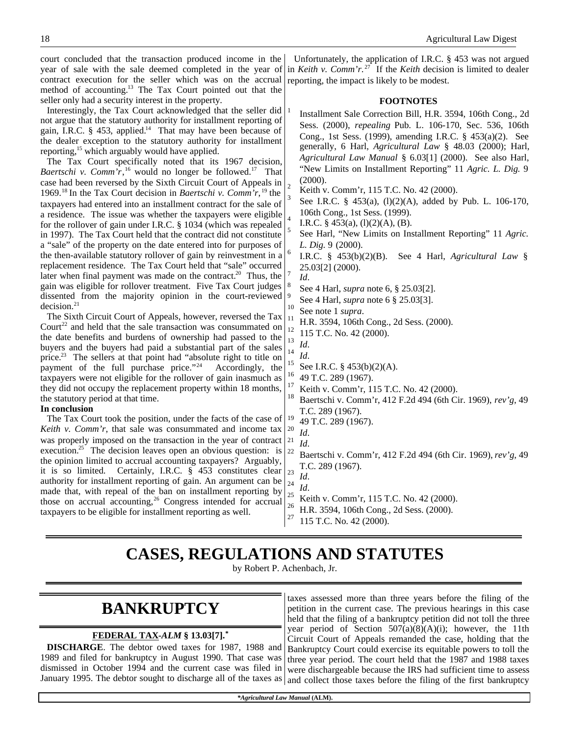court concluded that the transaction produced income in the year of sale with the sale deemed completed in the year of contract execution for the seller which was on the accrual method of accounting.<sup>13</sup> The Tax Court pointed out that the seller only had a security interest in the property.

Interestingly, the Tax Court acknowledged that the seller did not argue that the statutory authority for installment reporting of gain, I.R.C.  $\S$  453, applied.<sup>14</sup> That may have been because of the dealer exception to the statutory authority for installment reporting,<sup>15</sup> which arguably would have applied.

The Tax Court specifically noted that its 1967 decision, Baertschi v. Comm'r,<sup>16</sup> would no longer be followed.<sup>17</sup> That case had been reversed by the Sixth Circuit Court of Appeals in 1969.<sup>18</sup>In the Tax Court decision in *Baertschi v. Comm'r*, <sup>19</sup> the taxpayers had entered into an installment contract for the sale of a residence. The issue was whether the taxpayers were eligible for the rollover of gain under I.R.C. § 1034 (which was repealed in 1997). The Tax Court held that the contract did not constitute a "sale" of the property on the date entered into for purposes of the then-available statutory rollover of gain by reinvestment in a replacement residence. The Tax Court held that "sale" occurred later when final payment was made on the contract.<sup>20</sup> Thus, the gain was eligible for rollover treatment. Five Tax Court judges dissented from the majority opinion in the court-reviewed  $decision.<sup>21</sup>$ 

The Sixth Circuit Court of Appeals, however, reversed the Tax  $Count<sup>22</sup>$  and held that the sale transaction was consummated on the date benefits and burdens of ownership had passed to the buyers and the buyers had paid a substantial part of the sales price.<sup>23</sup> The sellers at that point had "absolute right to title on payment of the full purchase price."<sup>24</sup> Accordingly, the taxpayers were not eligible for the rollover of gain inasmuch as they did not occupy the replacement property within 18 months, the statutory period at that time.

### **In conclusion**

The Tax Court took the position, under the facts of the case of *Keith v. Comm'r*, that sale was consummated and income tax was properly imposed on the transaction in the year of contract execution.<sup>25</sup> The decision leaves open an obvious question: is the opinion limited to accrual accounting taxpayers? Arguably, it is so limited. Certainly, I.R.C. § 453 constitutes clear authority for installment reporting of gain. An argument can be made that, with repeal of the ban on installment reporting by those on accrual accounting,<sup>26</sup> Congress intended for accrual taxpayers to be eligible for installment reporting as well.

Unfortunately, the application of I.R.C. § 453 was not argued in *Keith v. Comm'r*. <sup>27</sup> If the *Keith* decision is limited to dealer reporting, the impact is likely to be modest.

### **FOOTNOTES**

Installment Sale Correction Bill, H.R. 3594, 106th Cong., 2d Sess. (2000), *repealing* Pub. L. 106-170, Sec. 536, 106th Cong., 1st Sess. (1999), amending I.R.C. § 453(a)(2). See generally, 6 Harl, *Agricultural Law* § 48.03 (2000); Harl, *Agricultural Law Manual* § 6.03[1] (2000). See also Harl, "New Limits on Installment Reporting" 11 *Agric. L. Dig.* 9 (2000).

<sup>2</sup> Keith v. Comm'r, 115 T.C. No. 42 (2000).

- See I.R.C. § 453(a), (l)(2)(A), added by Pub. L. 106-170, 106th Cong., 1st Sess. (1999).
- I.R.C. § 453(a),  $(l)(2)(A)$ ,  $(B)$ .
- See Harl, "New Limits on Installment Reporting" 11 *Agric. L. Dig.* 9 (2000).

I.R.C. § 453(b)(2)(B). See 4 Harl, *Agricultural Law* § 25.03[2] (2000).

*Id*.

1

3

4

5

6

7

8

9

- See 4 Harl, *supra* note 6, § 25.03[2].
- See 4 Harl, *supra* note 6 § 25.03[3].
- $^{10}$  See note 1 *supra*.
- <sup>11</sup> H.R. 3594, 106th Cong., 2d Sess. (2000).
- $^{12}$  115 T.C. No. 42 (2000).
- $\frac{13}{14}$  *Id.*
- $\frac{14}{15}$  *Id.*
- <sup>15</sup> See I.R.C. § 453(b)(2)(A).<br><sup>16</sup> 40 T.C. 280 (1067).
- $^{16}$  49 T.C. 289 (1967).
- <sup>17</sup> Keith v. Comm'r, 115 T.C. No. 42 (2000).<br><sup>18</sup> Peartschi v. Comm'r, 412 E 24,404 (6th G.
- <sup>18</sup> Baertschi v. Comm'r, 412 F.2d 494 (6th Cir. 1969), *rev'g*, 49 T.C. 289 (1967).
- $^{19}_{20}$  49 T.C. 289 (1967).
- $rac{20}{21}$  *Id.*
- $\frac{21}{22}$  *Id.* 
	- <sup>22</sup> Baertschi v. Comm'r, 412 F.2d 494 (6th Cir. 1969), *rev'g*, 49 T.C. 289 (1967).
- $\frac{23}{10}$  *Id.*<br>24 *II*
- $\frac{24}{25}$  *Id.*
- <sup>25</sup> Keith v. Comm'r, 115 T.C. No. 42 (2000).<br><sup>26</sup> H.D. 2504, 106th Grass, 24 S.v. (2000).
- <sup>26</sup> H.R. 3594, 106th Cong., 2d Sess. (2000).
- <sup>27</sup> 115 T.C. No. 42 (2000).

# **CASES, REGULATIONS AND STATUTES**

by Robert P. Achenbach, Jr.

# **BANKRUPTCY**

### **FEDERAL TAX -***ALM* **§ 13.03[7].\***

**DISCHARGE**. The debtor owed taxes for 1987, 1988 and 1989 and filed for bankruptcy in August 1990. That case was dismissed in October 1994 and the current case was filed in

January 1995. The debtor sought to discharge all of the taxes as and collect those taxes before the filing of the first bankruptcy taxes assessed more than three years before the filing of the petition in the current case. The previous hearings in this case held that the filing of a bankruptcy petition did not toll the three year period of Section 507(a)(8)(A)(i); however, the 11th Circuit Court of Appeals remanded the case, holding that the Bankruptcy Court could exercise its equitable powers to toll the three year period. The court held that the 1987 and 1988 taxes were dischargeable because the IRS had sufficient time to assess

*\*Agricultural Law Manual* **(ALM).**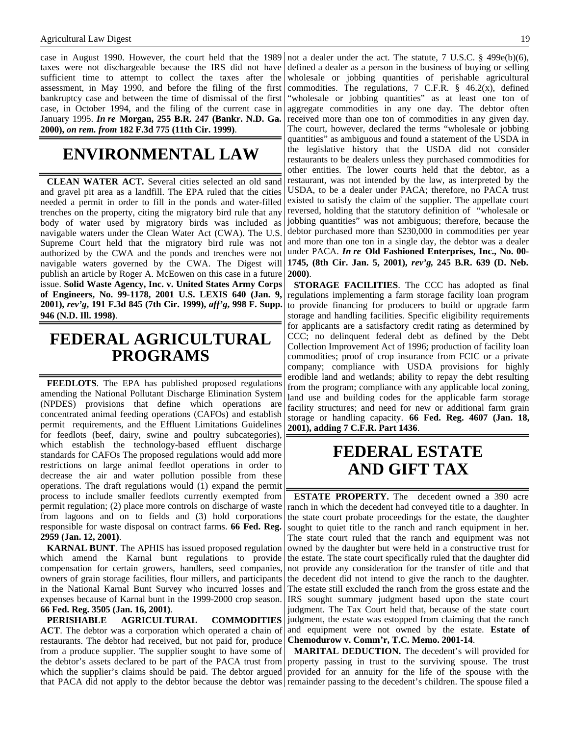#### Agricultural Law Digest 19

case in August 1990. However, the court held that the 1989 taxes were not dischargeable because the IRS did not have sufficient time to attempt to collect the taxes after the assessment, in May 1990, and before the filing of the first bankruptcy case and between the time of dismissal of the first case, in October 1994, and the filing of the current case in January 1995. *In re* **Morgan, 255 B.R. 247 (Bankr. N.D. Ga. 2000),** *on rem. from* **182 F.3d 775 (11th Cir. 1999)**.

## **ENVIRONMENTAL LAW**

**CLEAN WATER ACT.** Several cities selected an old sand and gravel pit area as a landfill. The EPA ruled that the cities needed a permit in order to fill in the ponds and water-filled trenches on the property, citing the migratory bird rule that any body of water used by migratory birds was included as navigable waters under the Clean Water Act (CWA). The U.S. Supreme Court held that the migratory bird rule was not authorized by the CWA and the ponds and trenches were not navigable waters governed by the CWA. The Digest will publish an article by Roger A. McEowen on this case in a future issue. **Solid Waste Agency, Inc. v. United States Army Corps of Engineers, No. 99-1178, 2001 U.S. LEXIS 640 (Jan. 9, 2001),** *rev'g***, 191 F.3d 845 (7th Cir. 1999),** *aff'g***, 998 F. Supp. 946 (N.D. Ill. 1998)**.

## **FEDERAL AGRICULTURAL PROGRAMS**

**FEEDLOTS**. The EPA has published proposed regulations amending the National Pollutant Discharge Elimination System (NPDES) provisions that define which operations are concentrated animal feeding operations (CAFOs) and establish permit requirements, and the Effluent Limitations Guidelines for feedlots (beef, dairy, swine and poultry subcategories), which establish the technology-based effluent discharge standards for CAFOs The proposed regulations would add more restrictions on large animal feedlot operations in order to decrease the air and water pollution possible from these operations. The draft regulations would (1) expand the permit process to include smaller feedlots currently exempted from permit regulation; (2) place more controls on discharge of waste from lagoons and on to fields and (3) hold corporations responsible for waste disposal on contract farms. **66 Fed. Reg. 2959 (Jan. 12, 2001)**.

**KARNAL BUNT**. The APHIS has issued proposed regulation which amend the Karnal bunt regulations to provide compensation for certain growers, handlers, seed companies, owners of grain storage facilities, flour millers, and participants in the National Karnal Bunt Survey who incurred losses and expenses because of Karnal bunt in the 1999-2000 crop season. **66 Fed. Reg. 3505 (Jan. 16, 2001)**.

**PERISHABLE AGRICULTURAL COMMODITIES ACT**. The debtor was a corporation which operated a chain of restaurants. The debtor had received, but not paid for, produce from a produce supplier. The supplier sought to have some of the debtor's assets declared to be part of the PACA trust from which the supplier's claims should be paid. The debtor argued

not a dealer under the act. The statute, 7 U.S.C. § 499e(b)(6), defined a dealer as a person in the business of buying or selling wholesale or jobbing quantities of perishable agricultural commodities. The regulations, 7 C.F.R.  $\S$  46.2(x), defined "wholesale or jobbing quantities" as at least one ton of aggregate commodities in any one day. The debtor often received more than one ton of commodities in any given day. The court, however, declared the terms "wholesale or jobbing quantities" as ambiguous and found a statement of the USDA in the legislative history that the USDA did not consider restaurants to be dealers unless they purchased commodities for other entities. The lower courts held that the debtor, as a restaurant, was not intended by the law, as interpreted by the USDA, to be a dealer under PACA; therefore, no PACA trust existed to satisfy the claim of the supplier. The appellate court reversed, holding that the statutory definition of "wholesale or jobbing quantities" was not ambiguous; therefore, because the debtor purchased more than \$230,000 in commodities per year and more than one ton in a single day, the debtor was a dealer under PACA. *In re* **Old Fashioned Enterprises, Inc., No. 00- 1745, (8th Cir. Jan. 5, 2001),** *rev'g***, 245 B.R. 639 (D. Neb. 2000)**.

**STORAGE FACILITIES**. The CCC has adopted as final regulations implementing a farm storage facility loan program to provide financing for producers to build or upgrade farm storage and handling facilities. Specific eligibility requirements for applicants are a satisfactory credit rating as determined by CCC; no delinquent federal debt as defined by the Debt Collection Improvement Act of 1996; production of facility loan commodities; proof of crop insurance from FCIC or a private company; compliance with USDA provisions for highly erodible land and wetlands; ability to repay the debt resulting from the program; compliance with any applicable local zoning, land use and building codes for the applicable farm storage facility structures; and need for new or additional farm grain storage or handling capacity. **66 Fed. Reg. 4607 (Jan. 18, 2001), adding 7 C.F.R. Part 1436**.

## **FEDERAL ESTATE AND GIFT TAX**

**ESTATE PROPERTY.** The decedent owned a 390 acre ranch in which the decedent had conveyed title to a daughter. In the state court probate proceedings for the estate, the daughter sought to quiet title to the ranch and ranch equipment in her. The state court ruled that the ranch and equipment was not owned by the daughter but were held in a constructive trust for the estate. The state court specifically ruled that the daughter did not provide any consideration for the transfer of title and that the decedent did not intend to give the ranch to the daughter. The estate still excluded the ranch from the gross estate and the IRS sought summary judgment based upon the state court judgment. The Tax Court held that, because of the state court judgment, the estate was estopped from claiming that the ranch and equipment were not owned by the estate. **Estate of Chemodurow v. Comm'r, T.C. Memo. 2001-14**.

that PACA did not apply to the debtor because the debtor was remainder passing to the decedent's children. The spouse filed a **MARITAL DEDUCTION.** The decedent's will provided for property passing in trust to the surviving spouse. The trust provided for an annuity for the life of the spouse with the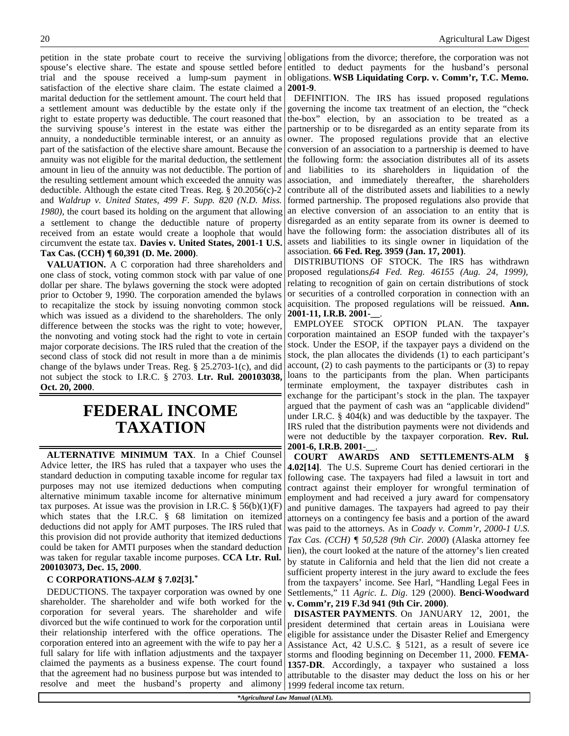petition in the state probate court to receive the surviving spouse's elective share. The estate and spouse settled before trial and the spouse received a lump-sum payment in satisfaction of the elective share claim. The estate claimed a marital deduction for the settlement amount. The court held that a settlement amount was deductible by the estate only if the right to estate property was deductible. The court reasoned that the surviving spouse's interest in the estate was either the annuity, a nondeductible terminable interest, or an annuity as part of the satisfaction of the elective share amount. Because the annuity was not eligible for the marital deduction, the settlement amount in lieu of the annuity was not deductible. The portion of the resulting settlement amount which exceeded the annuity was deductible. Although the estate cited Treas. Reg. § 20.2056(c)-2 and *Waldrup v. United States, 499 F. Supp. 820 (N.D. Miss. 1980)*, the court based its holding on the argument that allowing a settlement to change the deductible nature of property received from an estate would create a loophole that would circumvent the estate tax. **Davies v. United States, 2001-1 U.S. Tax Cas. (CCH) ¶ 60,391 (D. Me. 2000)**.

**VALUATION.** A C corporation had three shareholders and one class of stock, voting common stock with par value of one dollar per share. The bylaws governing the stock were adopted prior to October 9, 1990. The corporation amended the bylaws to recapitalize the stock by issuing nonvoting common stock which was issued as a dividend to the shareholders. The only difference between the stocks was the right to vote; however, the nonvoting and voting stock had the right to vote in certain major corporate decisions. The IRS ruled that the creation of the second class of stock did not result in more than a de minimis change of the bylaws under Treas. Reg. § 25.2703-1(c), and did not subject the stock to I.R.C. § 2703. **Ltr. Rul. 200103038, Oct. 20, 2000**.

## **FEDERAL INCOME TAXATION**

**ALTERNATIVE MINIMUM TAX**. In a Chief Counsel Advice letter, the IRS has ruled that a taxpayer who uses the standard deduction in computing taxable income for regular tax purposes may not use itemized deductions when computing alternative minimum taxable income for alternative minimum tax purposes. At issue was the provision in I.R.C.  $\S$  56(b)(1)(F) which states that the I.R.C. § 68 limitation on itemized deductions did not apply for AMT purposes. The IRS ruled that this provision did not provide authority that itemized deductions could be taken for AMTI purposes when the standard deduction was taken for regular taxable income purposes. **CCA Ltr. Rul. 200103073, Dec. 15, 2000**.

### **C CORPORATIONS-***ALM* **§ 7.02[3].\***

DEDUCTIONS. The taxpayer corporation was owned by one shareholder. The shareholder and wife both worked for the corporation for several years. The shareholder and wife divorced but the wife continued to work for the corporation until their relationship interfered with the office operations. The corporation entered into an agreement with the wife to pay her a full salary for life with inflation adjustments and the taxpayer claimed the payments as a business expense. The court found that the agreement had no business purpose but was intended to resolve and meet the husband's property and alimony

obligations from the divorce; therefore, the corporation was not entitled to deduct payments for the husband's personal obligations. **WSB Liquidating Corp. v. Comm'r, T.C. Memo. 2001-9**.

DEFINITION. The IRS has issued proposed regulations governing the income tax treatment of an election, the "check the-box" election, by an association to be treated as a partnership or to be disregarded as an entity separate from its owner. The proposed regulations provide that an elective conversion of an association to a partnership is deemed to have the following form: the association distributes all of its assets and liabilities to its shareholders in liquidation of the association, and immediately thereafter, the shareholders contribute all of the distributed assets and liabilities to a newly formed partnership. The proposed regulations also provide that an elective conversion of an association to an entity that is disregarded as an entity separate from its owner is deemed to have the following form: the association distributes all of its assets and liabilities to its single owner in liquidation of the association. **66 Fed. Reg. 3959 (Jan. 17, 2001)**.

DISTRIBUTIONS OF STOCK. The IRS has withdrawn proposed regulations,*64 Fed. Reg. 46155 (Aug. 24, 1999),* relating to recognition of gain on certain distributions of stock or securities of a controlled corporation in connection with an acquisition. The proposed regulations will be reissued. **Ann. 2001-11, I.R.B. 2001-\_\_**.

EMPLOYEE STOCK OPTION PLAN. The taxpayer corporation maintained an ESOP funded with the taxpayer's stock. Under the ESOP, if the taxpayer pays a dividend on the stock, the plan allocates the dividends (1) to each participant's account, (2) to cash payments to the participants or (3) to repay loans to the participants from the plan. When participants terminate employment, the taxpayer distributes cash in exchange for the participant's stock in the plan. The taxpayer argued that the payment of cash was an "applicable dividend" under I.R.C. § 404(k) and was deductible by the taxpayer. The IRS ruled that the distribution payments were not dividends and were not deductible by the taxpayer corporation. **Rev. Rul. 2001-6, I.R.B. 2001-\_\_**.

**COURT AWARDS AND SETTLEMENTS-ALM § 4.02[14]**. The U.S. Supreme Court has denied certiorari in the following case. The taxpayers had filed a lawsuit in tort and contract against their employer for wrongful termination of employment and had received a jury award for compensatory and punitive damages. The taxpayers had agreed to pay their attorneys on a contingency fee basis and a portion of the award was paid to the attorneys. As in *Coady v. Comm'r, 2000-1 U.S. Tax Cas. (CCH) ¶ 50,528 (9th Cir. 2000*) (Alaska attorney fee lien)*,* the court looked at the nature of the attorney's lien created by statute in California and held that the lien did not create a sufficient property interest in the jury award to exclude the fees from the taxpayers' income. See Harl, "Handling Legal Fees in Settlements," 11 *Agric. L. Dig*. 129 (2000). **Benci-Woodward v. Comm'r, 219 F.3d 941 (9th Cir. 2000)**.

**DISASTER PAYMENTS**. On JANUARY 12, 2001, the president determined that certain areas in Louisiana were eligible for assistance under the Disaster Relief and Emergency Assistance Act, 42 U.S.C. § 5121, as a result of severe ice storms and flooding beginning on December 11, 2000. **FEMA-1357-DR**. Accordingly, a taxpayer who sustained a loss attributable to the disaster may deduct the loss on his or her 1999 federal income tax return.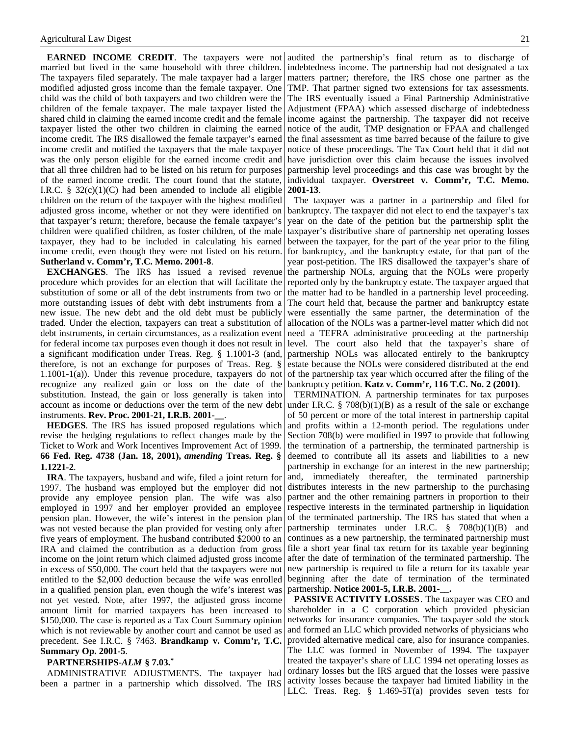**EARNED INCOME CREDIT**. The taxpayers were not married but lived in the same household with three children. The taxpayers filed separately. The male taxpayer had a larger modified adjusted gross income than the female taxpayer. One child was the child of both taxpayers and two children were the children of the female taxpayer. The male taxpayer listed the shared child in claiming the earned income credit and the female taxpayer listed the other two children in claiming the earned income credit. The IRS disallowed the female taxpayer's earned income credit and notified the taxpayers that the male taxpayer was the only person eligible for the earned income credit and that all three children had to be listed on his return for purposes of the earned income credit. The court found that the statute, I.R.C.  $\S$  32(c)(1)(C) had been amended to include all eligible children on the return of the taxpayer with the highest modified adjusted gross income, whether or not they were identified on that taxpayer's return; therefore, because the female taxpayer's children were qualified children, as foster children, of the male taxpayer, they had to be included in calculating his earned income credit, even though they were not listed on his return. **Sutherland v. Comm'r, T.C. Memo. 2001-8**.

**EXCHANGES**. The IRS has issued a revised revenue procedure which provides for an election that will facilitate the substitution of some or all of the debt instruments from two or more outstanding issues of debt with debt instruments from a new issue. The new debt and the old debt must be publicly traded. Under the election, taxpayers can treat a substitution of debt instruments, in certain circumstances, as a realization event for federal income tax purposes even though it does not result in a significant modification under Treas. Reg. § 1.1001-3 (and, therefore, is not an exchange for purposes of Treas. Reg. § 1.1001-1(a)). Under this revenue procedure, taxpayers do not recognize any realized gain or loss on the date of the substitution. Instead, the gain or loss generally is taken into account as income or deductions over the term of the new debt instruments. **Rev. Proc. 2001-21, I.R.B. 2001-\_\_**.

**HEDGES**. The IRS has issued proposed regulations which revise the hedging regulations to reflect changes made by the Ticket to Work and Work Incentives Improvement Act of 1999. **66 Fed. Reg. 4738 (Jan. 18, 2001),** *amending* **Treas. Reg. § 1.1221-2**.

**IRA**. The taxpayers, husband and wife, filed a joint return for 1997. The husband was employed but the employer did not provide any employee pension plan. The wife was also employed in 1997 and her employer provided an employee pension plan. However, the wife's interest in the pension plan was not vested because the plan provided for vesting only after five years of employment. The husband contributed \$2000 to an IRA and claimed the contribution as a deduction from gross income on the joint return which claimed adjusted gross income in excess of \$50,000. The court held that the taxpayers were not entitled to the \$2,000 deduction because the wife was enrolled in a qualified pension plan, even though the wife's interest was not yet vested. Note, after 1997, the adjusted gross income amount limit for married taxpayers has been increased to \$150,000. The case is reported as a Tax Court Summary opinion which is not reviewable by another court and cannot be used as precedent. See I.R.C. § 7463. **Brandkamp v. Comm'r, T.C. Summary Op. 2001-5**.

#### **PARTNERSHIPS-***ALM* **§ 7.03.\***

ADMINISTRATIVE ADJUSTMENTS. The taxpayer had been a partner in a partnership which dissolved. The IRS

audited the partnership's final return as to discharge of indebtedness income. The partnership had not designated a tax matters partner; therefore, the IRS chose one partner as the TMP. That partner signed two extensions for tax assessments. The IRS eventually issued a Final Partnership Administrative Adjustment (FPAA) which assessed discharge of indebtedness income against the partnership. The taxpayer did not receive notice of the audit, TMP designation or FPAA and challenged the final assessment as time barred because of the failure to give notice of these proceedings. The Tax Court held that it did not have jurisdiction over this claim because the issues involved partnership level proceedings and this case was brought by the individual taxpayer. **Overstreet v. Comm'r, T.C. Memo. 2001-13**.

The taxpayer was a partner in a partnership and filed for bankruptcy. The taxpayer did not elect to end the taxpayer's tax year on the date of the petition but the partnership split the taxpayer's distributive share of partnership net operating losses between the taxpayer, for the part of the year prior to the filing for bankruptcy, and the bankruptcy estate, for that part of the year post-petition. The IRS disallowed the taxpayer's share of the partnership NOLs, arguing that the NOLs were properly reported only by the bankruptcy estate. The taxpayer argued that the matter had to be handled in a partnership level proceeding. The court held that, because the partner and bankruptcy estate were essentially the same partner, the determination of the allocation of the NOLs was a partner-level matter which did not need a TEFRA administrative proceeding at the partnership level. The court also held that the taxpayer's share of partnership NOLs was allocated entirely to the bankruptcy estate because the NOLs were considered distributed at the end of the partnership tax year which occurred after the filing of the bankruptcy petition. **Katz v. Comm'r, 116 T.C. No. 2 (2001)**.

TERMINATION. A partnership terminates for tax purposes under I.R.C. § 708(b)(1)(B) as a result of the sale or exchange of 50 percent or more of the total interest in partnership capital and profits within a 12-month period. The regulations under Section 708(b) were modified in 1997 to provide that following the termination of a partnership, the terminated partnership is deemed to contribute all its assets and liabilities to a new partnership in exchange for an interest in the new partnership; and, immediately thereafter, the terminated partnership distributes interests in the new partnership to the purchasing partner and the other remaining partners in proportion to their respective interests in the terminated partnership in liquidation of the terminated partnership. The IRS has stated that when a partnership terminates under I.R.C.  $\frac{8}{100}$  708(b)(1)(B) and continues as a new partnership, the terminated partnership must file a short year final tax return for its taxable year beginning after the date of termination of the terminated partnership. The new partnership is required to file a return for its taxable year beginning after the date of termination of the terminated partnership. **Notice 2001-5, I.R.B. 2001-\_\_.**

**PASSIVE ACTIVITY LOSSES**. The taxpayer was CEO and shareholder in a C corporation which provided physician networks for insurance companies. The taxpayer sold the stock and formed an LLC which provided networks of physicians who provided alternative medical care, also for insurance companies. The LLC was formed in November of 1994. The taxpayer treated the taxpayer's share of LLC 1994 net operating losses as ordinary losses but the IRS argued that the losses were passive activity losses because the taxpayer had limited liability in the LLC. Treas. Reg. § 1.469-5T(a) provides seven tests for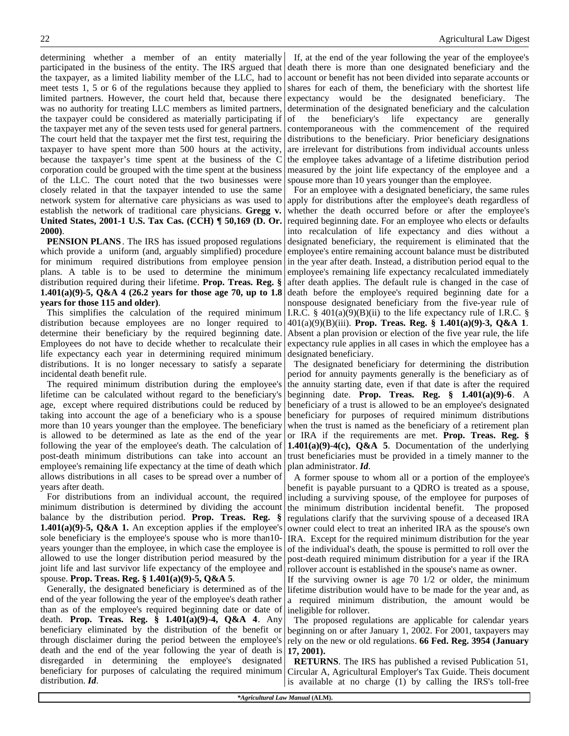determining whether a member of an entity materially participated in the business of the entity. The IRS argued that the taxpayer, as a limited liability member of the LLC, had to meet tests 1, 5 or 6 of the regulations because they applied to limited partners. However, the court held that, because there was no authority for treating LLC members as limited partners, the taxpayer could be considered as materially participating if the taxpayer met any of the seven tests used for general partners. The court held that the taxpayer met the first test, requiring the taxpayer to have spent more than 500 hours at the activity, because the taxpayer's time spent at the business of the C corporation could be grouped with the time spent at the business of the LLC. The court noted that the two businesses were closely related in that the taxpayer intended to use the same network system for alternative care physicians as was used to establish the network of traditional care physicians. **Gregg v. United States, 2001-1 U.S. Tax Cas. (CCH) ¶ 50,169 (D. Or. 2000)**.

**PENSION PLANS**. The IRS has issued proposed regulations which provide a uniform (and, arguably simplified) procedure for minimum required distributions from employee pension plans. A table is to be used to determine the minimum distribution required during their lifetime. **Prop. Treas. Reg. § 1.401(a)(9)-5, Q&A 4 (26.2 years for those age 70, up to 1.8 years for those 115 and older)**.

This simplifies the calculation of the required minimum distribution because employees are no longer required to determine their beneficiary by the required beginning date. Employees do not have to decide whether to recalculate their life expectancy each year in determining required minimum distributions. It is no longer necessary to satisfy a separate incidental death benefit rule.

The required minimum distribution during the employee's lifetime can be calculated without regard to the beneficiary's age, except where required distributions could be reduced by taking into account the age of a beneficiary who is a spouse more than 10 years younger than the employee. The beneficiary is allowed to be determined as late as the end of the year following the year of the employee's death. The calculation of post-death minimum distributions can take into account an employee's remaining life expectancy at the time of death which allows distributions in all cases to be spread over a number of years after death.

For distributions from an individual account, the required minimum distribution is determined by dividing the account balance by the distribution period. **Prop. Treas. Reg. § 1.401(a)(9)-5, O&A 1.** An exception applies if the employee's sole beneficiary is the employee's spouse who is more than10 years younger than the employee, in which case the employee is allowed to use the longer distribution period measured by the joint life and last survivor life expectancy of the employee and spouse. **Prop. Treas. Reg. § 1.401(a)(9)-5, Q&A 5**.

Generally, the designated beneficiary is determined as of the end of the year following the year of the employee's death rather than as of the employee's required beginning date or date of death. **Prop. Treas. Reg. § 1.401(a)(9)-4, Q&A 4**. Any beneficiary eliminated by the distribution of the benefit or through disclaimer during the period between the employee's death and the end of the year following the year of death is disregarded in determining the employee's designated beneficiary for purposes of calculating the required minimum distribution. *Id*.

If, at the end of the year following the year of the employee's death there is more than one designated beneficiary and the account or benefit has not been divided into separate accounts or shares for each of them, the beneficiary with the shortest life expectancy would be the designated beneficiary. The determination of the designated beneficiary and the calculation of the beneficiary's life expectancy are generally contemporaneous with the commencement of the required distributions to the beneficiary. Prior beneficiary designations are irrelevant for distributions from individual accounts unless the employee takes advantage of a lifetime distribution period measured by the joint life expectancy of the employee and a spouse more than 10 years younger than the employee.

For an employee with a designated beneficiary, the same rules apply for distributions after the employee's death regardless of whether the death occurred before or after the employee's required beginning date. For an employee who elects or defaults into recalculation of life expectancy and dies without a designated beneficiary, the requirement is eliminated that the employee's entire remaining account balance must be distributed in the year after death. Instead, a distribution period equal to the employee's remaining life expectancy recalculated immediately after death applies. The default rule is changed in the case of death before the employee's required beginning date for a nonspouse designated beneficiary from the five-year rule of I.R.C.  $\S$  401(a)(9)(B)(ii) to the life expectancy rule of I.R.C.  $\S$ 401(a)(9)(B)(iii). **Prop. Treas. Reg. § 1.401(a)(9)-3, Q&A 1**. Absent a plan provision or election of the five year rule, the life expectancy rule applies in all cases in which the employee has a designated beneficiary.

The designated beneficiary for determining the distribution period for annuity payments generally is the beneficiary as of the annuity starting date, even if that date is after the required beginning date. **Prop. Treas. Reg. § 1.401(a)(9)-6**. A beneficiary of a trust is allowed to be an employee's designated beneficiary for purposes of required minimum distributions when the trust is named as the beneficiary of a retirement plan or IRA if the requirements are met. **Prop. Treas. Reg. § 1.401(a)(9)-4(c), Q&A 5**. Documentation of the underlying trust beneficiaries must be provided in a timely manner to the plan administrator. *Id*.

A former spouse to whom all or a portion of the employee's benefit is payable pursuant to a QDRO is treated as a spouse, including a surviving spouse, of the employee for purposes of the minimum distribution incidental benefit. The proposed regulations clarify that the surviving spouse of a deceased IRA owner could elect to treat an inherited IRA as the spouse's own IRA. Except for the required minimum distribution for the year of the individual's death, the spouse is permitted to roll over the post-death required minimum distribution for a year if the IRA rollover account is established in the spouse's name as owner.

If the surviving owner is age 70 1/2 or older, the minimum lifetime distribution would have to be made for the year and, as a required minimum distribution, the amount would be ineligible for rollover.

The proposed regulations are applicable for calendar years beginning on or after January 1, 2002. For 2001, taxpayers may rely on the new or old regulations. **66 Fed. Reg. 3954 (January 17, 2001).**

**RETURNS**. The IRS has published a revised Publication 51, Circular A, Agricultural Employer's Tax Guide. Theis document is available at no charge (1) by calling the IRS's toll-free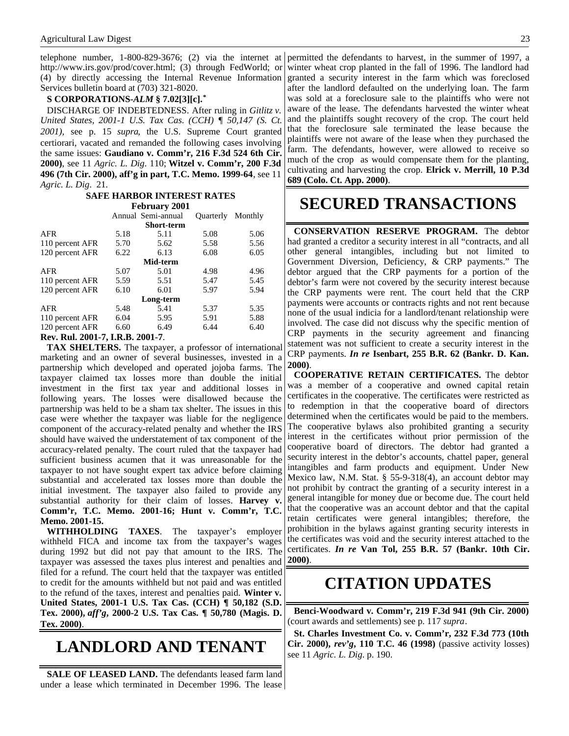telephone number, 1-800-829-3676; (2) via the internet at http://www.irs.gov/prod/cover.html; (3) through FedWorld; or (4) by directly accessing the Internal Revenue Information Services bulletin board at (703) 321-8020.

### **S CORPORATIONS-***ALM* **§ 7.02[3][c].\***

DISCHARGE OF INDEBTEDNESS. After ruling in *Gitlitz v. United States, 2001-1 U.S. Tax Cas. (CCH) ¶ 50,147 (S. Ct. 2001),* see p. 15 *supra*, the U.S. Supreme Court granted certiorari, vacated and remanded the following cases involving the same issues: **Gaudiano v. Comm'r, 216 F.3d 524 6th Cir. 2000)**, see 11 *Agric. L. Dig*. 110; **Witzel v. Comm'r, 200 F.3d 496 (7th Cir. 2000), aff'g in part, T.C. Memo. 1999-64**, see 11 *Agric. L. Dig*. 21.

### **SAFE HARBOR INTEREST RATES**

| <b>February 2001</b>                        |      |                    |                  |         |
|---------------------------------------------|------|--------------------|------------------|---------|
|                                             |      | Annual Semi-annual | <b>Ouarterly</b> | Monthly |
| <b>Short-term</b>                           |      |                    |                  |         |
| <b>AFR</b>                                  | 5.18 | 5.11               | 5.08             | 5.06    |
| 110 percent AFR                             | 5.70 | 5.62               | 5.58             | 5.56    |
| 120 percent AFR                             | 6.22 | 6.13               | 6.08             | 6.05    |
| Mid-term                                    |      |                    |                  |         |
| <b>AFR</b>                                  | 5.07 | 5.01               | 4.98             | 4.96    |
| 110 percent AFR                             | 5.59 | 5.51               | 5.47             | 5.45    |
| 120 percent AFR                             | 6.10 | 6.01               | 5.97             | 5.94    |
| Long-term                                   |      |                    |                  |         |
| <b>AFR</b>                                  | 5.48 | 5.41               | 5.37             | 5.35    |
| 110 percent AFR                             | 6.04 | 5.95               | 5.91             | 5.88    |
| 120 percent AFR                             | 6.60 | 6.49               | 6.44             | 6.40    |
| <b>2001</b><br>D. D. D. J. 0001<br>n n<br>- |      |                    |                  |         |

#### **Rev. Rul. 2001-7, I.R.B. 2001-7**.

**TAX SHELTERS.** The taxpayer, a professor of international marketing and an owner of several businesses, invested in a partnership which developed and operated jojoba farms. The taxpayer claimed tax losses more than double the initial investment in the first tax year and additional losses in following years. The losses were disallowed because the partnership was held to be a sham tax shelter. The issues in this case were whether the taxpayer was liable for the negligence component of the accuracy-related penalty and whether the IRS should have waived the understatement of tax component of the accuracy-related penalty. The court ruled that the taxpayer had sufficient business acumen that it was unreasonable for the taxpayer to not have sought expert tax advice before claiming substantial and accelerated tax losses more than double the initial investment. The taxpayer also failed to provide any substantial authority for their claim of losses. **Harvey v. Comm'r, T.C. Memo. 2001-16; Hunt v. Comm'r, T.C. Memo. 2001-15.**

**WITHHOLDING TAXES**. The taxpayer's employer withheld FICA and income tax from the taxpayer's wages during 1992 but did not pay that amount to the IRS. The taxpayer was assessed the taxes plus interest and penalties and filed for a refund. The court held that the taxpayer was entitled to credit for the amounts withheld but not paid and was entitled to the refund of the taxes, interest and penalties paid. **Winter v. United States, 2001-1 U.S. Tax Cas. (CCH) ¶ 50,182 (S.D. Tex. 2000),** *aff'g***, 2000-2 U.S. Tax Cas. ¶ 50,780 (Magis. D. Tex. 2000)**.

## **LANDLORD AND TENANT**

SALE OF LEASED LAND. The defendants leased farm land under a lease which terminated in December 1996. The lease

permitted the defendants to harvest, in the summer of 1997, a winter wheat crop planted in the fall of 1996. The landlord had granted a security interest in the farm which was foreclosed after the landlord defaulted on the underlying loan. The farm was sold at a foreclosure sale to the plaintiffs who were not aware of the lease. The defendants harvested the winter wheat and the plaintiffs sought recovery of the crop. The court held that the foreclosure sale terminated the lease because the plaintiffs were not aware of the lease when they purchased the farm. The defendants, however, were allowed to receive so much of the crop as would compensate them for the planting, cultivating and harvesting the crop. **Elrick v. Merrill, 10 P.3d 689 (Colo. Ct. App. 2000)**.

# **SECURED TRANSACTIONS**

**CONSERVATION RESERVE PROGRAM.** The debtor had granted a creditor a security interest in all "contracts, and all other general intangibles, including but not limited to Government Diversion, Deficiency, & CRP payments." The debtor argued that the CRP payments for a portion of the debtor's farm were not covered by the security interest because the CRP payments were rent. The court held that the CRP payments were accounts or contracts rights and not rent because none of the usual indicia for a landlord/tenant relationship were involved. The case did not discuss why the specific mention of CRP payments in the security agreement and financing statement was not sufficient to create a security interest in the CRP payments. *In re* **Isenbart, 255 B.R. 62 (Bankr. D. Kan. 2000)**.

**COOPERATIVE RETAIN CERTIFICATES.** The debtor was a member of a cooperative and owned capital retain certificates in the cooperative. The certificates were restricted as to redemption in that the cooperative board of directors determined when the certificates would be paid to the members. The cooperative bylaws also prohibited granting a security interest in the certificates without prior permission of the cooperative board of directors. The debtor had granted a security interest in the debtor's accounts, chattel paper, general intangibles and farm products and equipment. Under New Mexico law, N.M. Stat. § 55-9-318(4), an account debtor may not prohibit by contract the granting of a security interest in a general intangible for money due or become due. The court held that the cooperative was an account debtor and that the capital retain certificates were general intangibles; therefore, the prohibition in the bylaws against granting security interests in the certificates was void and the security interest attached to the certificates. *In re* **Van Tol, 255 B.R. 57 (Bankr. 10th Cir. 2000)**.

### **CITATION UPDATES**

**Benci-Woodward v. Comm'r, 219 F.3d 941 (9th Cir. 2000)** (court awards and settlements) see p. 117 *supra*.

**St. Charles Investment Co. v. Comm'r, 232 F.3d 773 (10th Cir. 2000),** *rev'g***, 110 T.C. 46 (1998)** (passive activity losses) see 11 *Agric. L. Dig*. p. 190.